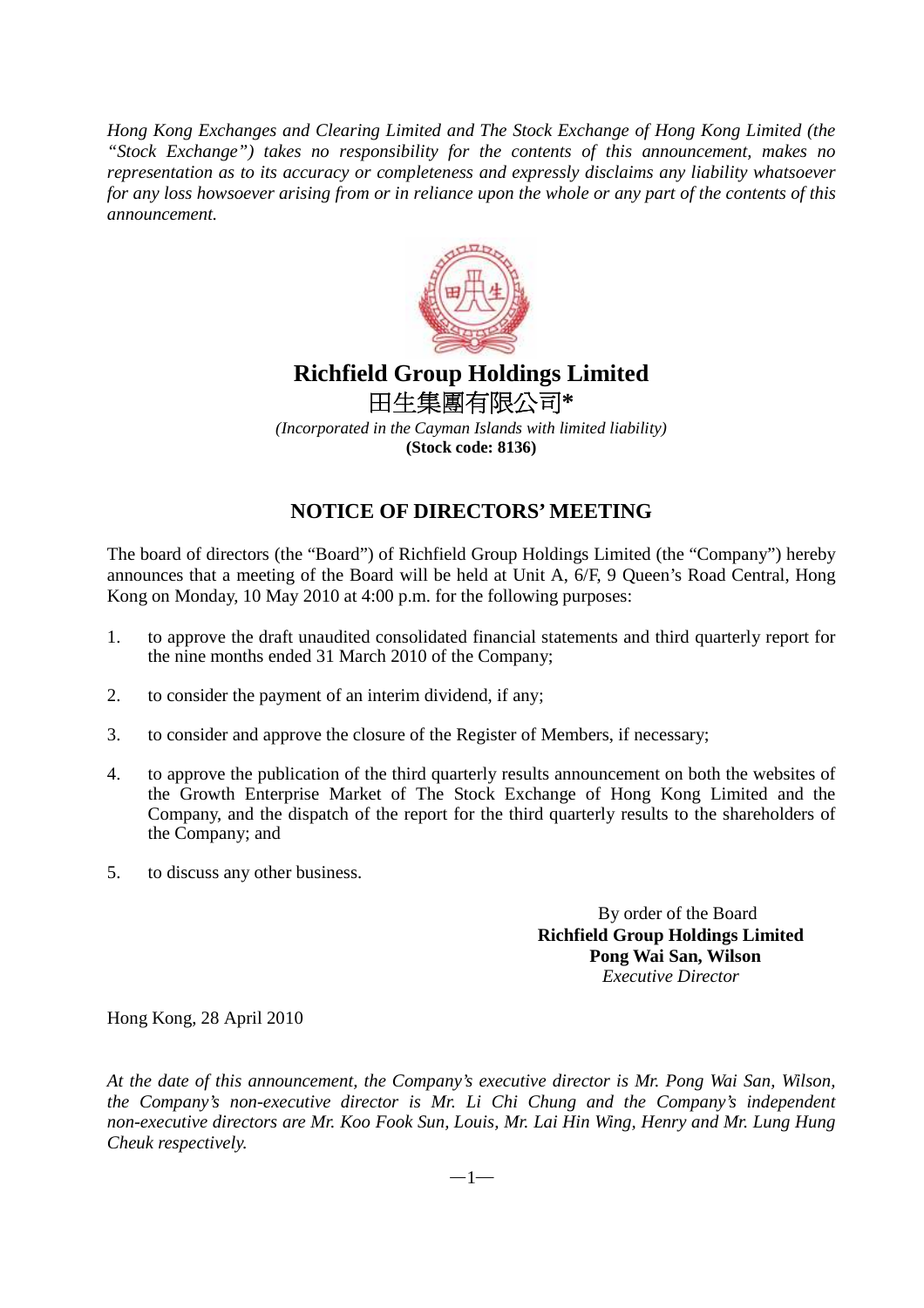*Hong Kong Exchanges and Clearing Limited and The Stock Exchange of Hong Kong Limited (the "Stock Exchange") takes no responsibility for the contents of this announcement, makes no representation as to its accuracy or completeness and expressly disclaims any liability whatsoever for any loss howsoever arising from or in reliance upon the whole or any part of the contents of this announcement.*



## **Richfield Group Holdings Limited**  田生集團有限公司**\***

*(Incorporated in the Cayman Islands with limited liability)*  **(Stock code: 8136)** 

## **NOTICE OF DIRECTORS' MEETING**

The board of directors (the "Board") of Richfield Group Holdings Limited (the "Company") hereby announces that a meeting of the Board will be held at Unit A, 6/F, 9 Queen's Road Central, Hong Kong on Monday, 10 May 2010 at 4:00 p.m. for the following purposes:

- 1. to approve the draft unaudited consolidated financial statements and third quarterly report for the nine months ended 31 March 2010 of the Company;
- 2. to consider the payment of an interim dividend, if any;
- 3. to consider and approve the closure of the Register of Members, if necessary;
- 4. to approve the publication of the third quarterly results announcement on both the websites of the Growth Enterprise Market of The Stock Exchange of Hong Kong Limited and the Company, and the dispatch of the report for the third quarterly results to the shareholders of the Company; and
- 5. to discuss any other business.

 By order of the Board **Richfield Group Holdings Limited Pong Wai San, Wilson**  *Executive Director* 

Hong Kong, 28 April 2010

*At the date of this announcement, the Company's executive director is Mr. Pong Wai San, Wilson, the Company's non-executive director is Mr. Li Chi Chung and the Company's independent non-executive directors are Mr. Koo Fook Sun, Louis, Mr. Lai Hin Wing, Henry and Mr. Lung Hung Cheuk respectively.* 

 $-1-$